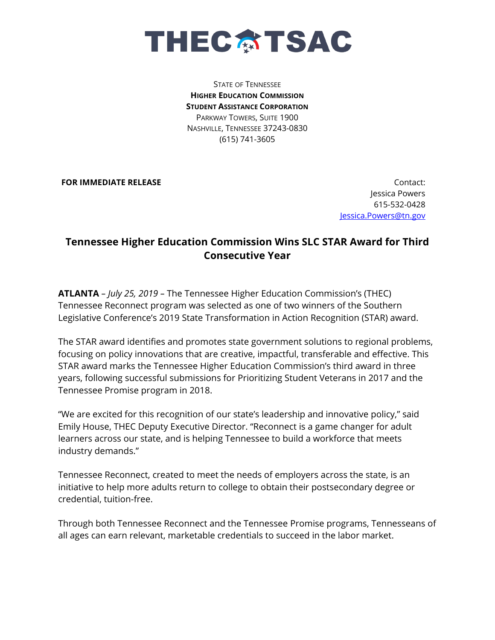

STATE OF TENNESSEE **HIGHER EDUCATION COMMISSION STUDENT ASSISTANCE CORPORATION** PARKWAY TOWERS, SUITE 1900 NASHVILLE, TENNESSEE 37243-0830 (615) 741-3605

**FOR IMMEDIATE RELEASE CONTACT ACCESS AND ACCESS OF A SET OF A SET OF A SET OF A SET OF A SET OF A SET OF A SET OF A SET OF A SET OF A SET OF A SET OF A SET OF A SET OF A SET OF A SET OF A SET OF A SET OF A SET OF A SET** 

Jessica Powers 615-532-0428 [Jessica.Powers@tn.gov](mailto:Jessica.Powers@tn.gov)

## **Tennessee Higher Education Commission Wins SLC STAR Award for Third Consecutive Year**

**ATLANTA** *– July 25, 2019 –* The Tennessee Higher Education Commission's (THEC) Tennessee Reconnect program was selected as one of two winners of the Southern Legislative Conference's 2019 State Transformation in Action Recognition (STAR) award.

The STAR award identifies and promotes state government solutions to regional problems, focusing on policy innovations that are creative, impactful, transferable and effective. This STAR award marks the Tennessee Higher Education Commission's third award in three years, following successful submissions for Prioritizing Student Veterans in 2017 and the Tennessee Promise program in 2018.

"We are excited for this recognition of our state's leadership and innovative policy," said Emily House, THEC Deputy Executive Director. "Reconnect is a game changer for adult learners across our state, and is helping Tennessee to build a workforce that meets industry demands."

Tennessee Reconnect, created to meet the needs of employers across the state, is an initiative to help more adults return to college to obtain their postsecondary degree or credential, tuition-free.

Through both Tennessee Reconnect and the Tennessee Promise programs, Tennesseans of all ages can earn relevant, marketable credentials to succeed in the labor market.